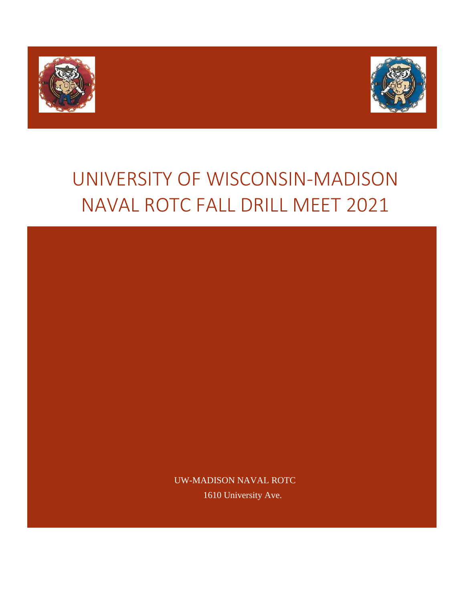



# UNIVERSITY OF WISCONSIN-MADISON NAVAL ROTC FALL DRILL MEET 2021

UW-MADISON NAVAL ROTC 1610 University Ave.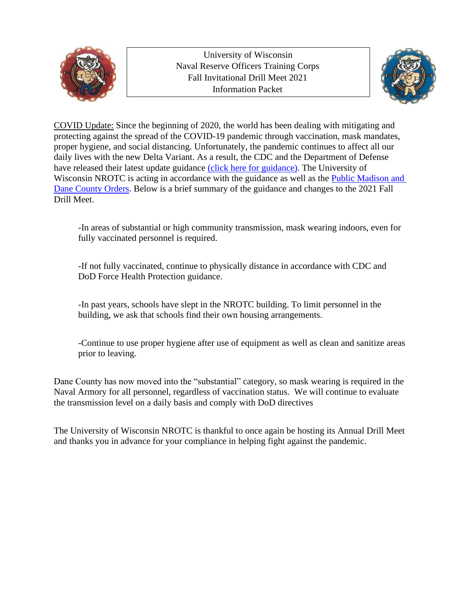

University of Wisconsin Naval Reserve Officers Training Corps Fall Invitational Drill Meet 2021 Information Packet



COVID Update: Since the beginning of 2020, the world has been dealing with mitigating and protecting against the spread of the COVID-19 pandemic through vaccination, mask mandates, proper hygiene, and social distancing. Unfortunately, the pandemic continues to affect all our daily lives with the new Delta Variant. As a result, the CDC and the Department of Defense have released their latest update guidance [\(click here for guidance\).](https://media.defense.gov/2021/Jul/28/2002814362/-1/-1/1/UPDATED-MASK-GUIDELINES-FOR-ALL-DOD-INSTALLATIONS-AND-OTHER-FACILITIES-OSD006862-21-FOD-FINAL.PDF) The University of Wisconsin NROTC is acting in accordance with the guidance as well as the [Public Madison and](https://publichealthmdc.com/documents/2021-08-17_Order_17.pdf)  [Dane County](https://publichealthmdc.com/documents/2021-08-17_Order_17.pdf) Orders. Below is a brief summary of the guidance and changes to the 2021 Fall Drill Meet.

-In areas of substantial or high community transmission, mask wearing indoors, even for fully vaccinated personnel is required.

-If not fully vaccinated, continue to physically distance in accordance with CDC and DoD Force Health Protection guidance.

-In past years, schools have slept in the NROTC building. To limit personnel in the building, we ask that schools find their own housing arrangements.

-Continue to use proper hygiene after use of equipment as well as clean and sanitize areas prior to leaving.

Dane County has now moved into the "substantial" category, so mask wearing is required in the Naval Armory for all personnel, regardless of vaccination status. We will continue to evaluate the transmission level on a daily basis and comply with DoD directives

The University of Wisconsin NROTC is thankful to once again be hosting its Annual Drill Meet and thanks you in advance for your compliance in helping fight against the pandemic.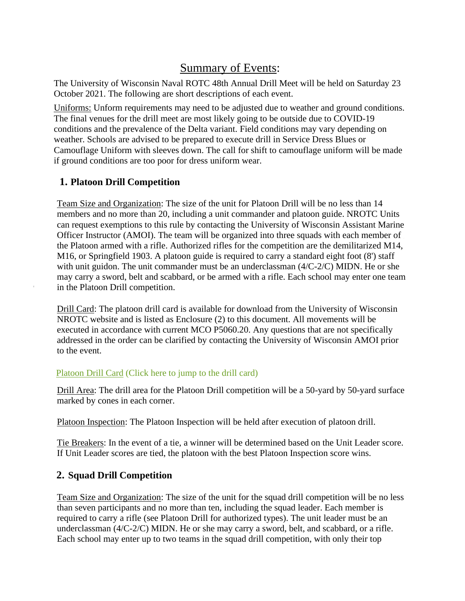# Summary of Events:

The University of Wisconsin Naval ROTC 48th Annual Drill Meet will be held on Saturday 23 October 2021. The following are short descriptions of each event.

Uniforms: Unform requirements may need to be adjusted due to weather and ground conditions. The final venues for the drill meet are most likely going to be outside due to COVID-19 conditions and the prevalence of the Delta variant. Field conditions may vary depending on weather. Schools are advised to be prepared to execute drill in Service Dress Blues or Camouflage Uniform with sleeves down. The call for shift to camouflage uniform will be made if ground conditions are too poor for dress uniform wear.

# **1. Platoon Drill Competition**

Team Size and Organization: The size of the unit for Platoon Drill will be no less than 14 members and no more than 20, including a unit commander and platoon guide. NROTC Units can request exemptions to this rule by contacting the University of Wisconsin Assistant Marine Officer Instructor (AMOI). The team will be organized into three squads with each member of the Platoon armed with a rifle. Authorized rifles for the competition are the demilitarized M14, M16, or Springfield 1903. A platoon guide is required to carry a standard eight foot (8') staff with unit guidon. The unit commander must be an underclassman (4/C-2/C) MIDN. He or she may carry a sword, belt and scabbard, or be armed with a rifle. Each school may enter one team in the Platoon Drill competition.

Drill Card: The platoon drill card is available for download from the University of Wisconsin NROTC website and is listed as Enclosure (2) to this document. All movements will be executed in accordance with current MCO P5060.20. Any questions that are not specifically addressed in the order can be clarified by contacting the University of Wisconsin AMOI prior to the event.

## [Platoon Drill Card](#page-10-0) (Click here to jump to the drill card)

Drill Area: The drill area for the Platoon Drill competition will be a 50-yard by 50-yard surface marked by cones in each corner.

Platoon Inspection: The Platoon Inspection will be held after execution of platoon drill.

Tie Breakers: In the event of a tie, a winner will be determined based on the Unit Leader score. If Unit Leader scores are tied, the platoon with the best Platoon Inspection score wins.

# **2. Squad Drill Competition**

Team Size and Organization: The size of the unit for the squad drill competition will be no less than seven participants and no more than ten, including the squad leader. Each member is required to carry a rifle (see Platoon Drill for authorized types). The unit leader must be an underclassman  $(4/C-2/C)$  MIDN. He or she may carry a sword, belt, and scabbard, or a rifle. Each school may enter up to two teams in the squad drill competition, with only their top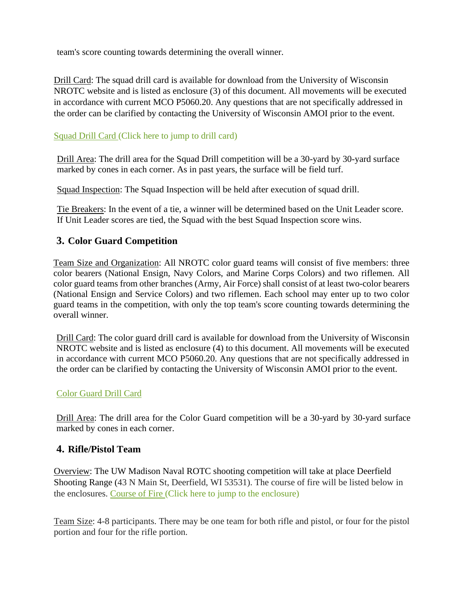team's score counting towards determining the overall winner.

Drill Card: The squad drill card is available for download from the University of Wisconsin NROTC website and is listed as enclosure (3) of this document. All movements will be executed in accordance with current MCO P5060.20. Any questions that are not specifically addressed in the order can be clarified by contacting the University of Wisconsin AMOI prior to the event.

## [Squad Drill Card \(](#page-11-0)Click here to jump to drill card)

Drill Area: The drill area for the Squad Drill competition will be a 30-yard by 30-yard surface marked by cones in each corner. As in past years, the surface will be field turf.

Squad Inspection: The Squad Inspection will be held after execution of squad drill.

Tie Breakers: In the event of a tie, a winner will be determined based on the Unit Leader score. If Unit Leader scores are tied, the Squad with the best Squad Inspection score wins.

# **3. Color Guard Competition**

Team Size and Organization: All NROTC color guard teams will consist of five members: three color bearers (National Ensign, Navy Colors, and Marine Corps Colors) and two riflemen. All color guard teams from other branches (Army, Air Force) shall consist of at least two-color bearers (National Ensign and Service Colors) and two riflemen. Each school may enter up to two color guard teams in the competition, with only the top team's score counting towards determining the overall winner.

Drill Card: The color guard drill card is available for download from the University of Wisconsin NROTC website and is listed as enclosure (4) to this document. All movements will be executed in accordance with current MCO P5060.20. Any questions that are not specifically addressed in the order can be clarified by contacting the University of Wisconsin AMOI prior to the event.

## [Color Guard Drill](#page-12-0) Card

Drill Area: The drill area for the Color Guard competition will be a 30-yard by 30-yard surface marked by cones in each corner.

## **4. Rifle/Pistol Team**

Overview: The UW Madison Naval ROTC shooting competition will take at place Deerfield Shooting Range (43 N Main St, Deerfield, WI 53531). The course of fire will be listed below in the enclosures. [Course of Fire \(](#page-13-0)Click here to jump to the enclosure)

Team Size: 4-8 participants. There may be one team for both rifle and pistol, or four for the pistol portion and four for the rifle portion.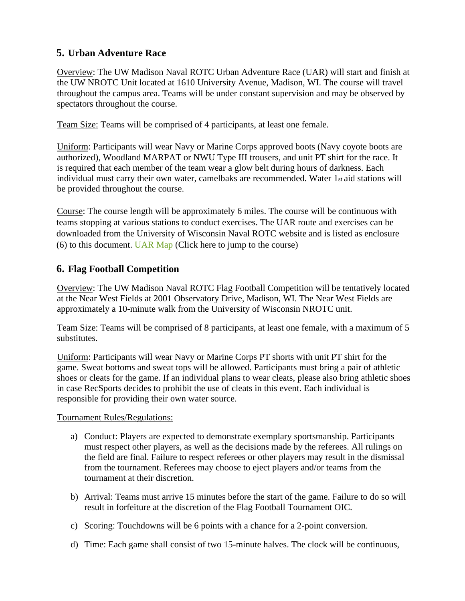# **5. Urban Adventure Race**

Overview: The UW Madison Naval ROTC Urban Adventure Race (UAR) will start and finish at the UW NROTC Unit located at 1610 University Avenue, Madison, WI. The course will travel throughout the campus area. Teams will be under constant supervision and may be observed by spectators throughout the course.

Team Size: Teams will be comprised of 4 participants, at least one female.

Uniform: Participants will wear Navy or Marine Corps approved boots (Navy coyote boots are authorized), Woodland MARPAT or NWU Type III trousers, and unit PT shirt for the race. It is required that each member of the team wear a glow belt during hours of darkness. Each individual must carry their own water, camelbaks are recommended. Water 1st aid stations will be provided throughout the course.

Course: The course length will be approximately 6 miles. The course will be continuous with teams stopping at various stations to conduct exercises. The UAR route and exercises can be downloaded from the University of Wisconsin Naval ROTC website and is listed as enclosure (6) to this document. UAR Map (Click here to jump to the course)

# **6. Flag Football Competition**

Overview: The UW Madison Naval ROTC Flag Football Competition will be tentatively located at the Near West Fields at 2001 Observatory Drive, Madison, WI. The Near West Fields are approximately a 10-minute walk from the University of Wisconsin NROTC unit.

Team Size: Teams will be comprised of 8 participants, at least one female, with a maximum of 5 substitutes.

Uniform: Participants will wear Navy or Marine Corps PT shorts with unit PT shirt for the game. Sweat bottoms and sweat tops will be allowed. Participants must bring a pair of athletic shoes or cleats for the game. If an individual plans to wear cleats, please also bring athletic shoes in case RecSports decides to prohibit the use of cleats in this event. Each individual is responsible for providing their own water source.

Tournament Rules/Regulations:

- a) Conduct: Players are expected to demonstrate exemplary sportsmanship. Participants must respect other players, as well as the decisions made by the referees. All rulings on the field are final. Failure to respect referees or other players may result in the dismissal from the tournament. Referees may choose to eject players and/or teams from the tournament at their discretion.
- b) Arrival: Teams must arrive 15 minutes before the start of the game. Failure to do so will result in forfeiture at the discretion of the Flag Football Tournament OIC.
- c) Scoring: Touchdowns will be 6 points with a chance for a 2-point conversion.
- d) Time: Each game shall consist of two 15-minute halves. The clock will be continuous,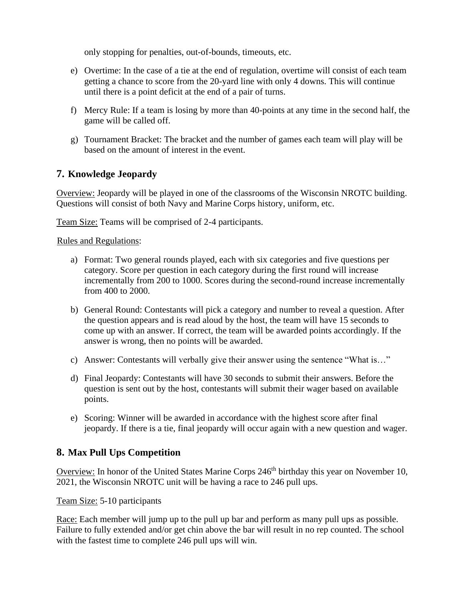only stopping for penalties, out-of-bounds, timeouts, etc.

- e) Overtime: In the case of a tie at the end of regulation, overtime will consist of each team getting a chance to score from the 20-yard line with only 4 downs. This will continue until there is a point deficit at the end of a pair of turns.
- f) Mercy Rule: If a team is losing by more than 40-points at any time in the second half, the game will be called off.
- g) Tournament Bracket: The bracket and the number of games each team will play will be based on the amount of interest in the event.

# **7. Knowledge Jeopardy**

Overview: Jeopardy will be played in one of the classrooms of the Wisconsin NROTC building. Questions will consist of both Navy and Marine Corps history, uniform, etc.

Team Size: Teams will be comprised of 2-4 participants.

Rules and Regulations:

- a) Format: Two general rounds played, each with six categories and five questions per category. Score per question in each category during the first round will increase incrementally from 200 to 1000. Scores during the second-round increase incrementally from 400 to 2000.
- b) General Round: Contestants will pick a category and number to reveal a question. After the question appears and is read aloud by the host, the team will have 15 seconds to come up with an answer. If correct, the team will be awarded points accordingly. If the answer is wrong, then no points will be awarded.
- c) Answer: Contestants will verbally give their answer using the sentence "What is…"
- d) Final Jeopardy: Contestants will have 30 seconds to submit their answers. Before the question is sent out by the host, contestants will submit their wager based on available points.
- e) Scoring: Winner will be awarded in accordance with the highest score after final jeopardy. If there is a tie, final jeopardy will occur again with a new question and wager.

## **8. Max Pull Ups Competition**

Overview: In honor of the United States Marine Corps 246<sup>th</sup> birthday this year on November 10, 2021, the Wisconsin NROTC unit will be having a race to 246 pull ups.

Team Size: 5-10 participants

Race: Each member will jump up to the pull up bar and perform as many pull ups as possible. Failure to fully extended and/or get chin above the bar will result in no rep counted. The school with the fastest time to complete 246 pull ups will win.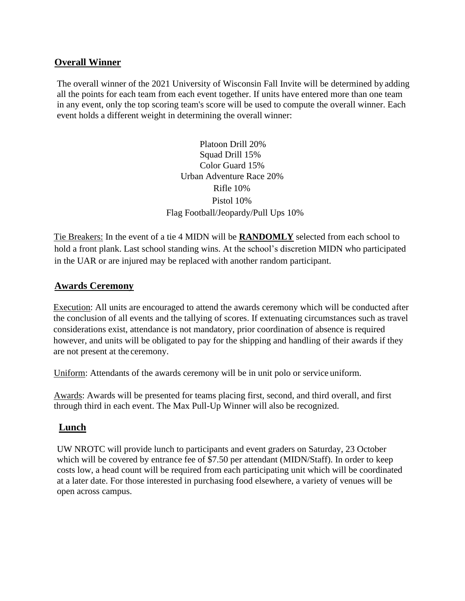## **Overall Winner**

The overall winner of the 2021 University of Wisconsin Fall Invite will be determined by adding all the points for each team from each event together. If units have entered more than one team in any event, only the top scoring team's score will be used to compute the overall winner. Each event holds a different weight in determining the overall winner:

> Platoon Drill 20% Squad Drill 15% Color Guard 15% Urban Adventure Race 20% Rifle 10% Pistol 10% Flag Football/Jeopardy/Pull Ups 10%

Tie Breakers: In the event of a tie 4 MIDN will be **RANDOMLY** selected from each school to hold a front plank. Last school standing wins. At the school's discretion MIDN who participated in the UAR or are injured may be replaced with another random participant.

#### **Awards Ceremony**

Execution: All units are encouraged to attend the awards ceremony which will be conducted after the conclusion of all events and the tallying of scores. If extenuating circumstances such as travel considerations exist, attendance is not mandatory, prior coordination of absence is required however, and units will be obligated to pay for the shipping and handling of their awards if they are not present at the ceremony.

Uniform: Attendants of the awards ceremony will be in unit polo or service uniform.

Awards: Awards will be presented for teams placing first, second, and third overall, and first through third in each event. The Max Pull-Up Winner will also be recognized.

## **Lunch**

UW NROTC will provide lunch to participants and event graders on Saturday, 23 October which will be covered by entrance fee of \$7.50 per attendant (MIDN/Staff). In order to keep costs low, a head count will be required from each participating unit which will be coordinated at a later date. For those interested in purchasing food elsewhere, a variety of venues will be open across campus.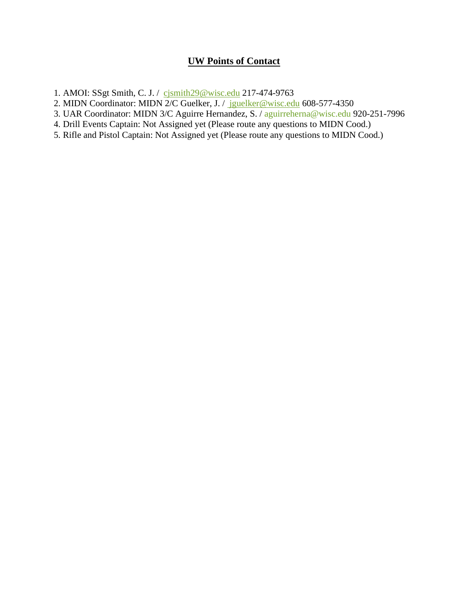## **UW Points of Contact**

- 1. AMOI: SSgt Smith, C. J. / [cjsmith29@wisc.edu](mailto:cjsmith29@wisc.edu) 217-474-9763
- 2. MIDN Coordinator: MIDN 2/C Guelker, J. / [jguelker@wisc.edu](mailto:drharris3@wisc.edu) 608-577-4350
- 3. UAR Coordinator: MIDN 3/C Aguirre Hernandez, S. / [aguirreherna@wisc.edu](mailto:aguirreherna@wisc.edu) 920-251-7996
- 4. Drill Events Captain: Not Assigned yet (Please route any questions to MIDN Cood.)
- 5. Rifle and Pistol Captain: Not Assigned yet (Please route any questions to MIDN Cood.)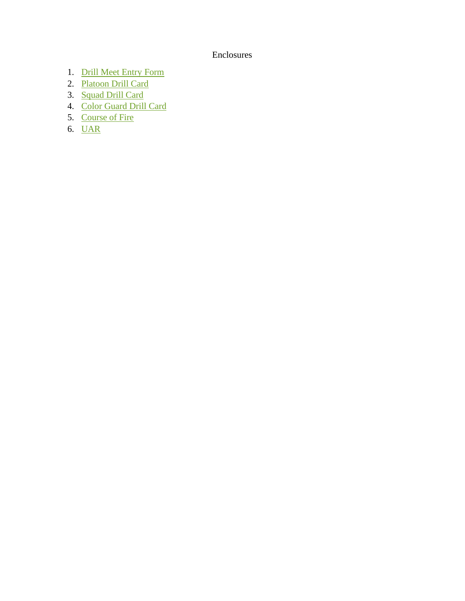#### Enclosures

- <span id="page-8-0"></span>1. [Drill Meet Entry](#page-9-0) Form
- 2. [Platoon Drill](#page-10-0) Card
- 3. [Squad Drill](#page-11-0) Card
- 4. [Color Guard Drill](#page-12-0) Card
- 5. [Course of](#page-13-0) Fire
- 6. UAR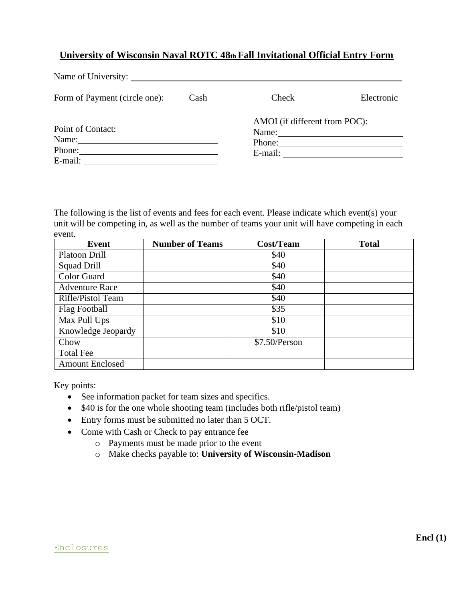#### <span id="page-9-0"></span>**University of Wisconsin Naval ROTC 48th Fall Invitational Official Entry Form**

| Form of Payment (circle one):              | Cash | Check                                                                                                          | Electronic |
|--------------------------------------------|------|----------------------------------------------------------------------------------------------------------------|------------|
| Point of Contact:<br>Name: Name<br>E-mail: |      | AMOI (if different from POC):<br>Name: $\frac{1}{\sqrt{1-\frac{1}{2}} \cdot \frac{1}{2}}$<br>Phone:<br>E-mail: |            |

The following is the list of events and fees for each event. Please indicate which event(s) your unit will be competing in, as well as the number of teams your unit will have competing in each event.

| Event                  | <b>Number of Teams</b> | <b>Cost/Team</b> | <b>Total</b> |
|------------------------|------------------------|------------------|--------------|
| Platoon Drill          |                        | \$40             |              |
| Squad Drill            |                        | \$40             |              |
| <b>Color Guard</b>     |                        | \$40             |              |
| <b>Adventure Race</b>  |                        | \$40             |              |
| Rifle/Pistol Team      |                        | \$40             |              |
| Flag Football          |                        | \$35             |              |
| Max Pull Ups           |                        | \$10             |              |
| Knowledge Jeopardy     |                        | \$10             |              |
| Chow                   |                        | \$7.50/Person    |              |
| <b>Total Fee</b>       |                        |                  |              |
| <b>Amount Enclosed</b> |                        |                  |              |

Key points:

- See information packet for team sizes and specifics.
- \$40 is for the one whole shooting team (includes both rifle/pistol team)
- Entry forms must be submitted no later than 5 OCT.
- Come with Cash or Check to pay entrance fee
	- o Payments must be made prior to the event
	- o Make checks payable to: **University of Wisconsin-Madison**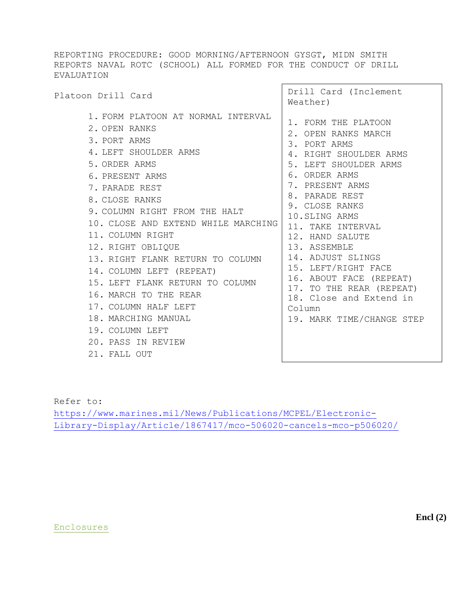<span id="page-10-0"></span>REPORTING PROCEDURE: GOOD MORNING/AFTERNOON GYSGT, MIDN SMITH REPORTS NAVAL ROTC (SCHOOL) ALL FORMED FOR THE CONDUCT OF DRILL EVALUATION

| Platoon Drill Card                                                                                                                                                                                                                                                                                                                                                                                                                                                                                                        | Drill Card (Inclement<br>Weather)                                                                                                                                                                                                                                                                                                                                                                                                    |
|---------------------------------------------------------------------------------------------------------------------------------------------------------------------------------------------------------------------------------------------------------------------------------------------------------------------------------------------------------------------------------------------------------------------------------------------------------------------------------------------------------------------------|--------------------------------------------------------------------------------------------------------------------------------------------------------------------------------------------------------------------------------------------------------------------------------------------------------------------------------------------------------------------------------------------------------------------------------------|
| 1. FORM PLATOON AT NORMAL INTERVAL<br>2. OPEN RANKS<br>3. PORT ARMS<br>4. LEFT SHOULDER ARMS<br>5. ORDER ARMS<br>6. PRESENT ARMS<br>7. PARADE REST<br>8. CLOSE RANKS<br>9. COLUMN RIGHT FROM THE HALT<br>10. CLOSE AND EXTEND WHILE MARCHING<br>11. COLUMN RIGHT<br>12. RIGHT OBLIQUE<br>13. RIGHT FLANK RETURN TO COLUMN<br>14. COLUMN LEFT (REPEAT)<br>15. LEFT FLANK RETURN TO COLUMN<br>16. MARCH TO THE REAR<br>17. COLUMN HALF LEFT<br>18. MARCHING MANUAL<br>19. COLUMN LEFT<br>20. PASS IN REVIEW<br>21. FALL OUT | 1. FORM THE PLATOON<br>2. OPEN RANKS MARCH<br>3. PORT ARMS<br>4. RIGHT SHOULDER ARMS<br>5. LEFT SHOULDER ARMS<br>6. ORDER ARMS<br>7. PRESENT ARMS<br>8. PARADE REST<br>9. CLOSE RANKS<br>10. SLING ARMS<br>11. TAKE INTERVAL<br>12. HAND SALUTE<br>13. ASSEMBLE<br>14. ADJUST SLINGS<br>15. LEFT/RIGHT FACE<br>16. ABOUT FACE (REPEAT)<br>17. TO THE REAR (REPEAT)<br>18. Close and Extend in<br>Column<br>19. MARK TIME/CHANGE STEP |
|                                                                                                                                                                                                                                                                                                                                                                                                                                                                                                                           |                                                                                                                                                                                                                                                                                                                                                                                                                                      |

Refer to:

[https://www.marines.mil/News/Publications/MCPEL/Electronic-](https://www.marines.mil/News/Publications/MCPEL/Electronic-Library-Display/Article/1867417/mco-506020-cancels-mco-p506020/)[Library-Display/Article/1867417/mco-506020-cancels-mco-p506020/](https://www.marines.mil/News/Publications/MCPEL/Electronic-Library-Display/Article/1867417/mco-506020-cancels-mco-p506020/)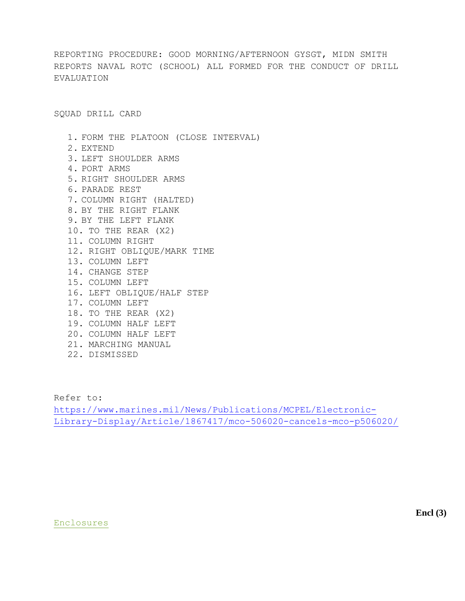<span id="page-11-0"></span>REPORTING PROCEDURE: GOOD MORNING/AFTERNOON GYSGT, MIDN SMITH REPORTS NAVAL ROTC (SCHOOL) ALL FORMED FOR THE CONDUCT OF DRILL EVALUATION

SQUAD DRILL CARD

1. FORM THE PLATOON (CLOSE INTERVAL) 2. EXTEND 3. LEFT SHOULDER ARMS 4. PORT ARMS 5. RIGHT SHOULDER ARMS 6. PARADE REST 7. COLUMN RIGHT (HALTED) 8. BY THE RIGHT FLANK 9. BY THE LEFT FLANK 10. TO THE REAR (X2) 11. COLUMN RIGHT 12. RIGHT OBLIQUE/MARK TIME 13. COLUMN LEFT 14. CHANGE STEP 15. COLUMN LEFT 16. LEFT OBLIQUE/HALF STEP 17. COLUMN LEFT 18. TO THE REAR (X2) 19. COLUMN HALF LEFT 20. COLUMN HALF LEFT 21. MARCHING MANUAL 22. DISMISSED

Refer to: [https://www.marines.mil/News/Publications/MCPEL/Electronic-](https://www.marines.mil/News/Publications/MCPEL/Electronic-Library-Display/Article/1867417/mco-506020-cancels-mco-p506020/)[Library-Display/Article/1867417/mco-506020-cancels-mco-p506020/](https://www.marines.mil/News/Publications/MCPEL/Electronic-Library-Display/Article/1867417/mco-506020-cancels-mco-p506020/)

#### [Enclosures](#page-8-0)

**Encl (3)**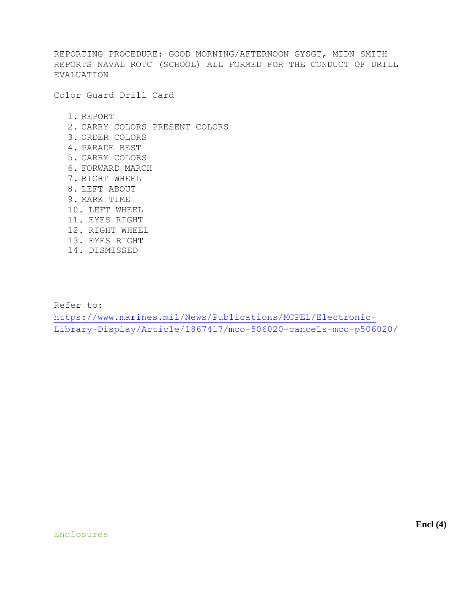<span id="page-12-0"></span>REPORTING PROCEDURE: GOOD MORNING/AFTERNOON GYSGT, MIDN SMITH REPORTS NAVAL ROTC (SCHOOL) ALL FORMED FOR THE CONDUCT OF DRILL EVALUATION

Color Guard Drill Card

1. REPORT

- 2. CARRY COLORS PRESENT COLORS
- 3. ORDER COLORS
- 4. PARADE REST
- 5. CARRY COLORS
- 6. FORWARD MARCH
- 7. RIGHT WHEEL
- 8. LEFT ABOUT
- 9. MARK TIME
- 10. LEFT WHEEL
- 11. EYES RIGHT
- 12. RIGHT WHEEL
- 13. EYES RIGHT
- 14. DISMISSED

Refer to:

[https://www.marines.mil/News/Publications/MCPEL/Electronic-](https://www.marines.mil/News/Publications/MCPEL/Electronic-Library-Display/Article/1867417/mco-506020-cancels-mco-p506020/)[Library-Display/Article/1867417/mco-506020-cancels-mco-p506020/](https://www.marines.mil/News/Publications/MCPEL/Electronic-Library-Display/Article/1867417/mco-506020-cancels-mco-p506020/)

#### [Enclosures](#page-8-0)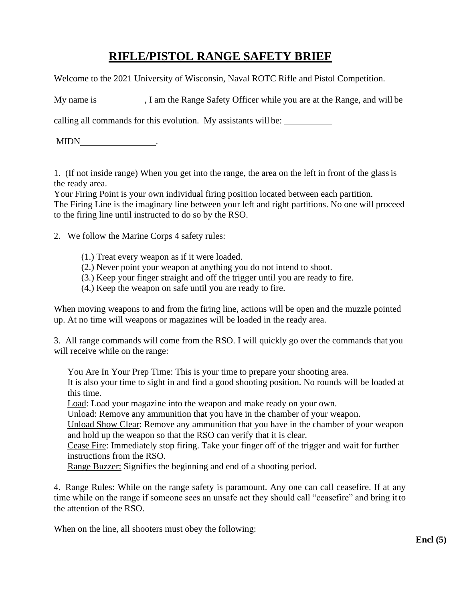# **RIFLE/PISTOL RANGE SAFETY BRIEF**

<span id="page-13-0"></span>Welcome to the 2021 University of Wisconsin, Naval ROTC Rifle and Pistol Competition.

My name is , I am the Range Safety Officer while you are at the Range, and will be

calling all commands for this evolution. My assistants will be:

MIDN .

1. (If not inside range) When you get into the range, the area on the left in front of the glassis the ready area.

Your Firing Point is your own individual firing position located between each partition. The Firing Line is the imaginary line between your left and right partitions. No one will proceed to the firing line until instructed to do so by the RSO.

2. We follow the Marine Corps 4 safety rules:

- (1.) Treat every weapon as if it were loaded.
- (2.) Never point your weapon at anything you do not intend to shoot.
- (3.) Keep your finger straight and off the trigger until you are ready to fire.
- (4.) Keep the weapon on safe until you are ready to fire.

When moving weapons to and from the firing line, actions will be open and the muzzle pointed up. At no time will weapons or magazines will be loaded in the ready area.

3. All range commands will come from the RSO. I will quickly go over the commands that you will receive while on the range:

You Are In Your Prep Time: This is your time to prepare your shooting area.

It is also your time to sight in and find a good shooting position. No rounds will be loaded at this time.

Load: Load your magazine into the weapon and make ready on your own.

Unload: Remove any ammunition that you have in the chamber of your weapon.

Unload Show Clear: Remove any ammunition that you have in the chamber of your weapon and hold up the weapon so that the RSO can verify that it is clear.

Cease Fire: Immediately stop firing. Take your finger off of the trigger and wait for further instructions from the RSO.

Range Buzzer: Signifies the beginning and end of a shooting period.

4. Range Rules: While on the range safety is paramount. Any one can call ceasefire. If at any time while on the range if someone sees an unsafe act they should call "ceasefire" and bring it to the attention of the RSO.

When on the line, all shooters must obey the following: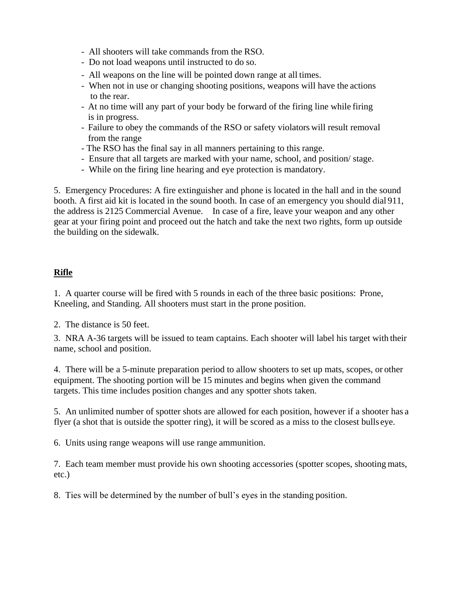- All shooters will take commands from the RSO.
- Do not load weapons until instructed to do so.
- All weapons on the line will be pointed down range at all times.
- When not in use or changing shooting positions, weapons will have the actions to the rear.
- At no time will any part of your body be forward of the firing line while firing is in progress.
- Failure to obey the commands of the RSO or safety violators will result removal from the range
- The RSO has the final say in all manners pertaining to this range.
- Ensure that all targets are marked with your name, school, and position/ stage.
- While on the firing line hearing and eye protection is mandatory.

5. Emergency Procedures: A fire extinguisher and phone is located in the hall and in the sound booth. A first aid kit is located in the sound booth. In case of an emergency you should dial 911, the address is 2125 Commercial Avenue. In case of a fire, leave your weapon and any other gear at your firing point and proceed out the hatch and take the next two rights, form up outside the building on the sidewalk.

#### **Rifle**

1. A quarter course will be fired with 5 rounds in each of the three basic positions: Prone, Kneeling, and Standing. All shooters must start in the prone position.

2. The distance is 50 feet.

3. NRA A-36 targets will be issued to team captains. Each shooter will label his target with their name, school and position.

4. There will be a 5-minute preparation period to allow shooters to set up mats, scopes, or other equipment. The shooting portion will be 15 minutes and begins when given the command targets. This time includes position changes and any spotter shots taken.

5. An unlimited number of spotter shots are allowed for each position, however if a shooter has a flyer (a shot that is outside the spotter ring), it will be scored as a miss to the closest bulls eye.

6. Units using range weapons will use range ammunition.

7. Each team member must provide his own shooting accessories (spotter scopes, shooting mats, etc.)

8. Ties will be determined by the number of bull's eyes in the standing position.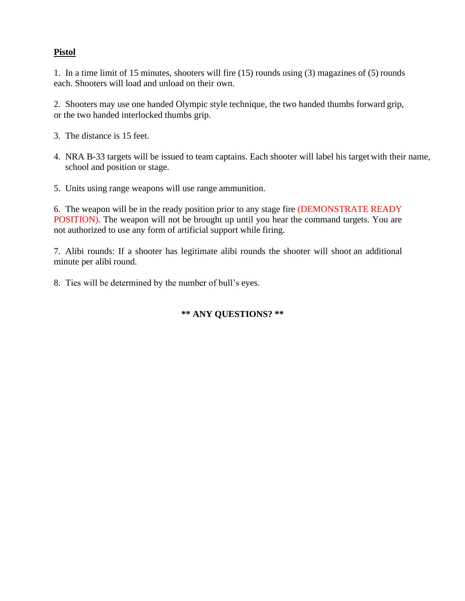#### **Pistol**

1. In a time limit of 15 minutes, shooters will fire (15) rounds using (3) magazines of (5) rounds each. Shooters will load and unload on their own.

2. Shooters may use one handed Olympic style technique, the two handed thumbs forward grip, or the two handed interlocked thumbs grip.

- 3. The distance is 15 feet.
- 4. NRA B-33 targets will be issued to team captains. Each shooter will label his target with their name, school and position or stage.
- 5. Units using range weapons will use range ammunition.

6. The weapon will be in the ready position prior to any stage fire (DEMONSTRATE READY POSITION). The weapon will not be brought up until you hear the command targets. You are not authorized to use any form of artificial support while firing.

7. Alibi rounds: If a shooter has legitimate alibi rounds the shooter will shoot an additional minute per alibi round.

8. Ties will be determined by the number of bull's eyes.

#### **\*\* ANY QUESTIONS? \*\***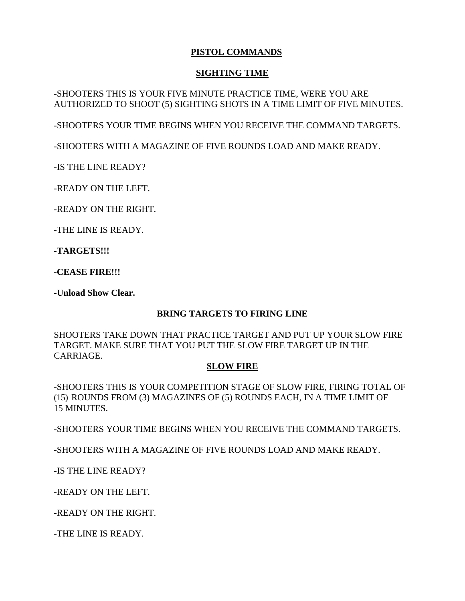## **PISTOL COMMANDS**

#### **SIGHTING TIME**

-SHOOTERS THIS IS YOUR FIVE MINUTE PRACTICE TIME, WERE YOU ARE AUTHORIZED TO SHOOT (5) SIGHTING SHOTS IN A TIME LIMIT OF FIVE MINUTES.

-SHOOTERS YOUR TIME BEGINS WHEN YOU RECEIVE THE COMMAND TARGETS.

-SHOOTERS WITH A MAGAZINE OF FIVE ROUNDS LOAD AND MAKE READY.

-IS THE LINE READY?

-READY ON THE LEFT.

-READY ON THE RIGHT.

-THE LINE IS READY.

**-TARGETS!!!**

**-CEASE FIRE!!!**

**-Unload Show Clear.**

#### **BRING TARGETS TO FIRING LINE**

SHOOTERS TAKE DOWN THAT PRACTICE TARGET AND PUT UP YOUR SLOW FIRE TARGET. MAKE SURE THAT YOU PUT THE SLOW FIRE TARGET UP IN THE CARRIAGE.

#### **SLOW FIRE**

-SHOOTERS THIS IS YOUR COMPETITION STAGE OF SLOW FIRE, FIRING TOTAL OF (15) ROUNDS FROM (3) MAGAZINES OF (5) ROUNDS EACH, IN A TIME LIMIT OF 15 MINUTES.

-SHOOTERS YOUR TIME BEGINS WHEN YOU RECEIVE THE COMMAND TARGETS.

-SHOOTERS WITH A MAGAZINE OF FIVE ROUNDS LOAD AND MAKE READY.

-IS THE LINE READY?

-READY ON THE LEFT.

-READY ON THE RIGHT.

-THE LINE IS READY.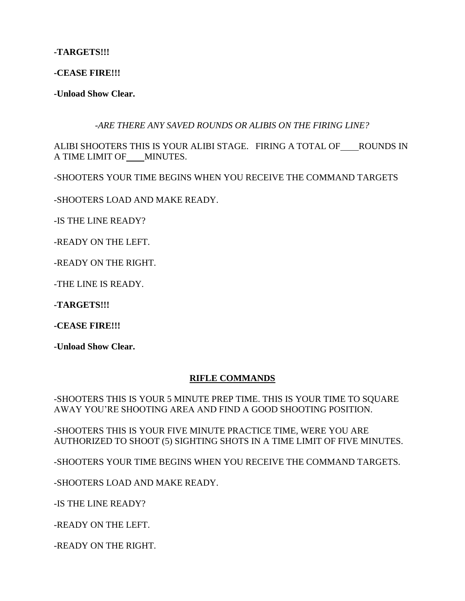**-TARGETS!!!**

**-CEASE FIRE!!!**

**-Unload Show Clear.**

*-ARE THERE ANY SAVED ROUNDS OR ALIBIS ON THE FIRING LINE?*

ALIBI SHOOTERS THIS IS YOUR ALIBI STAGE. FIRING A TOTAL OF ROUNDS IN A TIME LIMIT OF MINUTES.

-SHOOTERS YOUR TIME BEGINS WHEN YOU RECEIVE THE COMMAND TARGETS

-SHOOTERS LOAD AND MAKE READY.

-IS THE LINE READY?

-READY ON THE LEFT.

-READY ON THE RIGHT.

-THE LINE IS READY.

**-TARGETS!!!**

**-CEASE FIRE!!!**

**-Unload Show Clear.**

#### **RIFLE COMMANDS**

-SHOOTERS THIS IS YOUR 5 MINUTE PREP TIME. THIS IS YOUR TIME TO SQUARE AWAY YOU'RE SHOOTING AREA AND FIND A GOOD SHOOTING POSITION.

-SHOOTERS THIS IS YOUR FIVE MINUTE PRACTICE TIME, WERE YOU ARE AUTHORIZED TO SHOOT (5) SIGHTING SHOTS IN A TIME LIMIT OF FIVE MINUTES.

-SHOOTERS YOUR TIME BEGINS WHEN YOU RECEIVE THE COMMAND TARGETS.

-SHOOTERS LOAD AND MAKE READY.

-IS THE LINE READY?

-READY ON THE LEFT.

-READY ON THE RIGHT.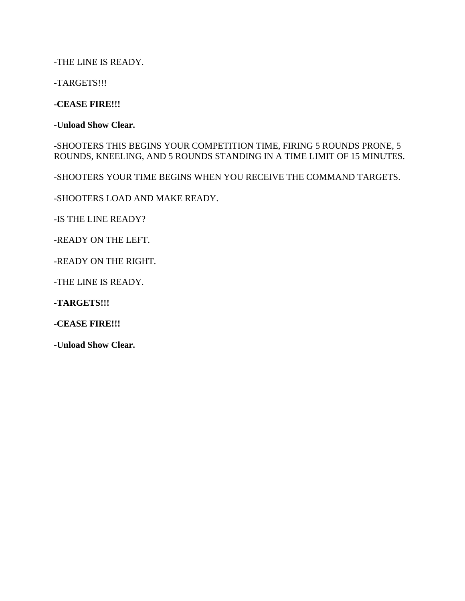-THE LINE IS READY.

-TARGETS!!!

**-CEASE FIRE!!!**

**-Unload Show Clear.**

-SHOOTERS THIS BEGINS YOUR COMPETITION TIME, FIRING 5 ROUNDS PRONE, 5 ROUNDS, KNEELING, AND 5 ROUNDS STANDING IN A TIME LIMIT OF 15 MINUTES.

-SHOOTERS YOUR TIME BEGINS WHEN YOU RECEIVE THE COMMAND TARGETS.

-SHOOTERS LOAD AND MAKE READY.

-IS THE LINE READY?

-READY ON THE LEFT.

-READY ON THE RIGHT.

-THE LINE IS READY.

**-TARGETS!!!**

**-CEASE FIRE!!!**

**-Unload Show Clear.**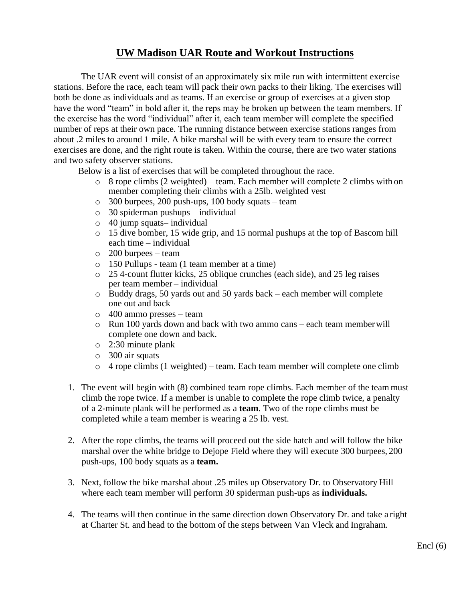# **UW Madison UAR Route and Workout Instructions**

The UAR event will consist of an approximately six mile run with intermittent exercise stations. Before the race, each team will pack their own packs to their liking. The exercises will both be done as individuals and as teams. If an exercise or group of exercises at a given stop have the word "team" in bold after it, the reps may be broken up between the team members. If the exercise has the word "individual" after it, each team member will complete the specified number of reps at their own pace. The running distance between exercise stations ranges from about .2 miles to around 1 mile. A bike marshal will be with every team to ensure the correct exercises are done, and the right route is taken. Within the course, there are two water stations and two safety observer stations.

Below is a list of exercises that will be completed throughout the race.

- $\circ$  8 rope climbs (2 weighted) team. Each member will complete 2 climbs with on member completing their climbs with a 25lb. weighted vest
- o 300 burpees, 200 push-ups, 100 body squats team
- o 30 spiderman pushups individual
- o 40 jump squats– individual
- o 15 dive bomber, 15 wide grip, and 15 normal pushups at the top of Bascom hill each time – individual
- o 200 burpees team
- o 150 Pullups team (1 team member at a time)
- o 25 4-count flutter kicks, 25 oblique crunches (each side), and 25 leg raises per team member – individual
- o Buddy drags, 50 yards out and 50 yards back each member will complete one out and back
- o 400 ammo presses team
- o Run 100 yards down and back with two ammo cans each team memberwill complete one down and back.
- o 2:30 minute plank
- o 300 air squats
- o 4 rope climbs (1 weighted) team. Each team member will complete one climb
- 1. The event will begin with (8) combined team rope climbs. Each member of the team must climb the rope twice. If a member is unable to complete the rope climb twice, a penalty of a 2-minute plank will be performed as a **team**. Two of the rope climbs must be completed while a team member is wearing a 25 lb. vest.
- 2. After the rope climbs, the teams will proceed out the side hatch and will follow the bike marshal over the white bridge to Dejope Field where they will execute 300 burpees, 200 push-ups, 100 body squats as a **team.**
- 3. Next, follow the bike marshal about .25 miles up Observatory Dr. to Observatory Hill where each team member will perform 30 spiderman push-ups as **individuals.**
- 4. The teams will then continue in the same direction down Observatory Dr. and take a right at Charter St. and head to the bottom of the steps between Van Vleck and Ingraham.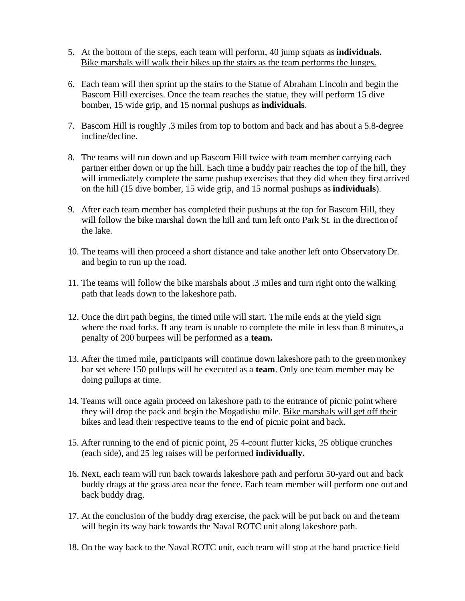- 5. At the bottom of the steps, each team will perform, 40 jump squats as **individuals.** Bike marshals will walk their bikes up the stairs as the team performs the lunges.
- 6. Each team will then sprint up the stairs to the Statue of Abraham Lincoln and begin the Bascom Hill exercises. Once the team reaches the statue, they will perform 15 dive bomber, 15 wide grip, and 15 normal pushups as **individuals**.
- 7. Bascom Hill is roughly .3 miles from top to bottom and back and has about a 5.8-degree incline/decline.
- 8. The teams will run down and up Bascom Hill twice with team member carrying each partner either down or up the hill. Each time a buddy pair reaches the top of the hill, they will immediately complete the same pushup exercises that they did when they first arrived on the hill (15 dive bomber, 15 wide grip, and 15 normal pushups as **individuals**).
- 9. After each team member has completed their pushups at the top for Bascom Hill, they will follow the bike marshal down the hill and turn left onto Park St. in the direction of the lake.
- 10. The teams will then proceed a short distance and take another left onto Observatory Dr. and begin to run up the road.
- 11. The teams will follow the bike marshals about .3 miles and turn right onto the walking path that leads down to the lakeshore path.
- 12. Once the dirt path begins, the timed mile will start. The mile ends at the yield sign where the road forks. If any team is unable to complete the mile in less than 8 minutes, a penalty of 200 burpees will be performed as a **team.**
- 13. After the timed mile, participants will continue down lakeshore path to the greenmonkey bar set where 150 pullups will be executed as a **team**. Only one team member may be doing pullups at time.
- 14. Teams will once again proceed on lakeshore path to the entrance of picnic point where they will drop the pack and begin the Mogadishu mile. Bike marshals will get off their bikes and lead their respective teams to the end of picnic point and back.
- 15. After running to the end of picnic point, 25 4-count flutter kicks, 25 oblique crunches (each side), and 25 leg raises will be performed **individually.**
- 16. Next, each team will run back towards lakeshore path and perform 50-yard out and back buddy drags at the grass area near the fence. Each team member will perform one out and back buddy drag.
- 17. At the conclusion of the buddy drag exercise, the pack will be put back on and the team will begin its way back towards the Naval ROTC unit along lakeshore path.
- 18. On the way back to the Naval ROTC unit, each team will stop at the band practice field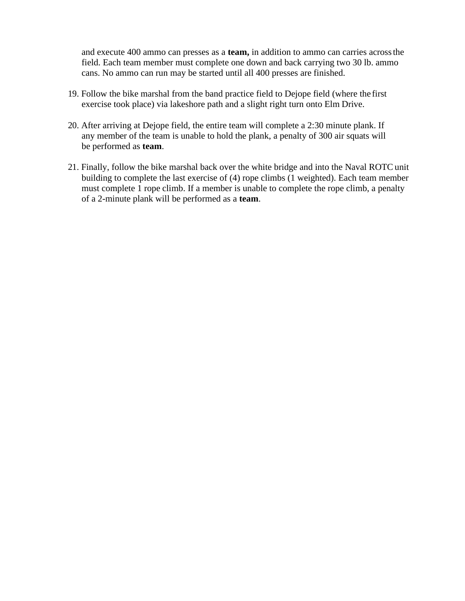and execute 400 ammo can presses as a **team,** in addition to ammo can carries acrossthe field. Each team member must complete one down and back carrying two 30 lb. ammo cans. No ammo can run may be started until all 400 presses are finished.

- 19. Follow the bike marshal from the band practice field to Dejope field (where the first exercise took place) via lakeshore path and a slight right turn onto Elm Drive.
- 20. After arriving at Dejope field, the entire team will complete a 2:30 minute plank. If any member of the team is unable to hold the plank, a penalty of 300 air squats will be performed as **team**.
- 21. Finally, follow the bike marshal back over the white bridge and into the Naval ROTC unit building to complete the last exercise of (4) rope climbs (1 weighted). Each team member must complete 1 rope climb. If a member is unable to complete the rope climb, a penalty of a 2-minute plank will be performed as a **team**.